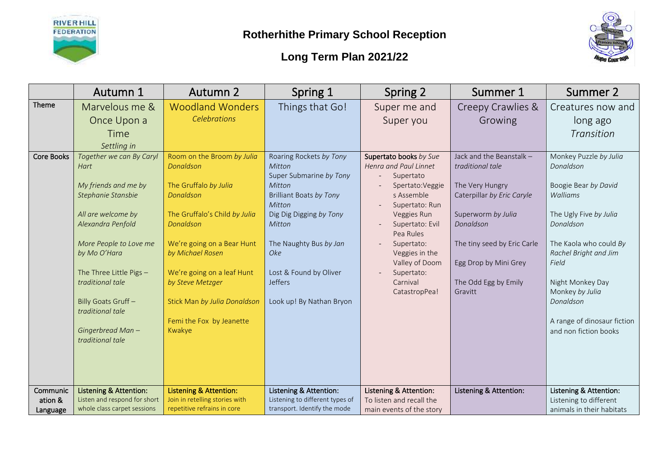



|                                 | Autumn 1                                                                                                                                                                                                                                                     | <b>Autumn 2</b>                                                                                                                                                                                                                                                                             | Spring 1                                                                                                                                                                                                                                                  | Spring 2                                                                                                                                                                                                                                                     | Summer 1                                                                                                                                                                                                                    | Summer 2                                                                                                                                                                                                                                                      |
|---------------------------------|--------------------------------------------------------------------------------------------------------------------------------------------------------------------------------------------------------------------------------------------------------------|---------------------------------------------------------------------------------------------------------------------------------------------------------------------------------------------------------------------------------------------------------------------------------------------|-----------------------------------------------------------------------------------------------------------------------------------------------------------------------------------------------------------------------------------------------------------|--------------------------------------------------------------------------------------------------------------------------------------------------------------------------------------------------------------------------------------------------------------|-----------------------------------------------------------------------------------------------------------------------------------------------------------------------------------------------------------------------------|---------------------------------------------------------------------------------------------------------------------------------------------------------------------------------------------------------------------------------------------------------------|
| Theme                           | Marvelous me &                                                                                                                                                                                                                                               | <b>Woodland Wonders</b>                                                                                                                                                                                                                                                                     | Things that Go!                                                                                                                                                                                                                                           | Super me and                                                                                                                                                                                                                                                 | Creepy Crawlies &                                                                                                                                                                                                           | Creatures now and                                                                                                                                                                                                                                             |
|                                 | Once Upon a                                                                                                                                                                                                                                                  | Celebrations                                                                                                                                                                                                                                                                                |                                                                                                                                                                                                                                                           | Super you                                                                                                                                                                                                                                                    | Growing                                                                                                                                                                                                                     | long ago                                                                                                                                                                                                                                                      |
|                                 | Time                                                                                                                                                                                                                                                         |                                                                                                                                                                                                                                                                                             |                                                                                                                                                                                                                                                           |                                                                                                                                                                                                                                                              |                                                                                                                                                                                                                             | Transition                                                                                                                                                                                                                                                    |
|                                 | Settling in                                                                                                                                                                                                                                                  |                                                                                                                                                                                                                                                                                             |                                                                                                                                                                                                                                                           |                                                                                                                                                                                                                                                              |                                                                                                                                                                                                                             |                                                                                                                                                                                                                                                               |
| <b>Core Books</b>               | Together we can By Caryl<br>Hart<br>My friends and me by<br>Stephanie Stansbie<br>All are welcome by<br>Alexandra Penfold<br>More People to Love me<br>by Mo O'Hara<br>The Three Little Pigs -<br>traditional tale<br>Billy Goats Gruff-<br>traditional tale | Room on the Broom by Julia<br>Donaldson<br>The Gruffalo by Julia<br>Donaldson<br>The Gruffalo's Child by Julia<br>Donaldson<br>We're going on a Bear Hunt<br>by Michael Rosen<br>We're going on a leaf Hunt<br>by Steve Metzger<br>Stick Man by Julia Donaldson<br>Femi the Fox by Jeanette | Roaring Rockets by Tony<br>Mitton<br>Super Submarine by Tony<br>Mitton<br><b>Brilliant Boats by Tony</b><br>Mitton<br>Dig Dig Digging by Tony<br>Mitton<br>The Naughty Bus by Jan<br>Oke<br>Lost & Found by Oliver<br>Jeffers<br>Look up! By Nathan Bryon | Supertato books by Sue<br>Henra and Paul Linnet<br>Supertato<br>Spertato: Veggie<br>s Assemble<br>Supertato: Run<br>Veggies Run<br>Supertato: Evil<br>Pea Rules<br>Supertato:<br>Veggies in the<br>Valley of Doom<br>Supertato:<br>Carnival<br>CatastropPea! | Jack and the Beanstalk -<br>traditional tale<br>The Very Hungry<br>Caterpillar by Eric Caryle<br>Superworm by Julia<br>Donaldson<br>The tiny seed by Eric Carle<br>Egg Drop by Mini Grey<br>The Odd Egg by Emily<br>Gravitt | Monkey Puzzle by Julia<br>Donaldson<br>Boogie Bear by David<br>Walliams<br>The Ugly Five by Julia<br>Donaldson<br>The Kaola who could By<br>Rachel Bright and Jim<br>Field<br>Night Monkey Day<br>Monkey by Julia<br>Donaldson<br>A range of dinosaur fiction |
|                                 | Gingerbread Man-<br>traditional tale                                                                                                                                                                                                                         | Kwakye                                                                                                                                                                                                                                                                                      |                                                                                                                                                                                                                                                           |                                                                                                                                                                                                                                                              |                                                                                                                                                                                                                             | and non fiction books                                                                                                                                                                                                                                         |
| Communic<br>ation &<br>Language | <b>Listening &amp; Attention:</b><br>Listen and respond for short<br>whole class carpet sessions                                                                                                                                                             | <b>Listening &amp; Attention:</b><br>Join in retelling stories with<br>repetitive refrains in core                                                                                                                                                                                          | Listening & Attention:<br>Listening to different types of<br>transport. Identify the mode                                                                                                                                                                 | Listening & Attention:<br>To listen and recall the<br>main events of the story                                                                                                                                                                               | Listening & Attention:                                                                                                                                                                                                      | Listening & Attention:<br>Listening to different<br>animals in their habitats                                                                                                                                                                                 |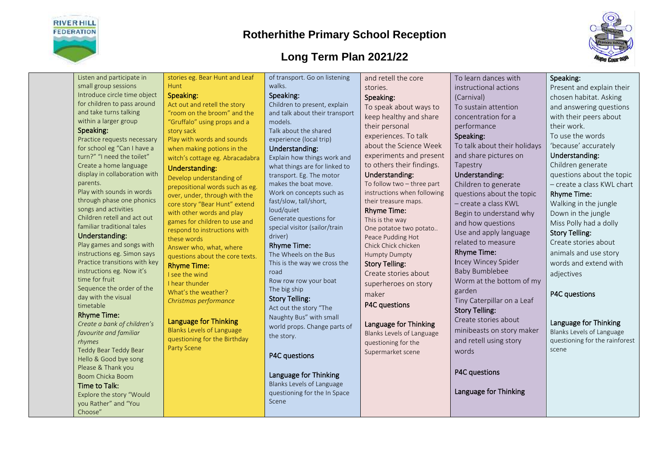

Speaking:

parents.

timetable

### **Rotherhithe Primary School Reception**

### **Long Term Plan 2021/22**



Listen and participate in small group sessions Introduce circle time object for children to pass around and take turns talking within a larger group Practice requests necessary for school eg "Can I have a turn?" "I need the toilet" Create a home language display in collaboration with Play with sounds in words through phase one phonics songs and activities Children retell and act out familiar traditional tales Understanding: Play games and songs with instructions eg. Simon says Practice transitions with key instructions eg. Now it's time for fruit Sequence the order of the day with the visual Rhyme Time: *Create a bank of children's*  stories eg. Bear Hunt and Leaf Hunt Speaking: Act out and retell the story "room on the broom" and the "Gruffalo" using props and a story sack Play with words and sounds when making potions in the witch's cottage eg. Abracadabra Understanding: Develop understanding of prepositional words such as eg. over, under, through with the core story "Bear Hunt" extend with other words and play games for children to use and respond to instructions with these words Answer who, what, where questions about the core texts. Rhyme Time: I see the wind I hear thunder What's the weather? *Christmas performance* Language for Thinking Blanks Levels of Language questioning for the Birthday Party Scene of transport. Go on listening walks. Speaking: Children to present, explain and talk about their transport models. Talk about the shared experience (local trip) Understanding: Explain how things work and what things are for linked to transport. Eg. The motor makes the boat move. Work on concepts such as fast/slow, tall/short, loud/quiet Generate questions for special visitor (sailor/train driver) Rhyme Time: The Wheels on the Bus This is the way we cross the road Row row row your boat The big ship Story Telling: Act out the story "The Naughty Bus" with small world props. Change parts of the story. P4C questions Language for Thinking Blanks Levels of Language questioning for the In Space and retell the core stories. Speaking: To speak about ways to keep healthy and share their personal experiences. To talk about the Science Week experiments and present to others their findings. Understanding: To follow two – three part instructions when following their treasure maps. Rhyme Time: This is the way One potatoe two potato.. Peace Pudding Hot Chick Chick chicken Humpty Dumpty Story Telling: Create stories about superheroes on story maker P4C questions Language for Thinking Blanks Levels of Language questioning for the Supermarket scene

To learn dances with instructional actions (Carnival) performance Speaking: Tapestry Understanding: Rhyme Time: Baby Bumblebee Worm at the bottom of my garden Story Telling: words

To sustain attention concentration for a

To talk about their holidays and share pictures on

Children to generate questions about the topic – create a class KWL Begin to understand why and how questions Use and apply language related to measure Incey Wincey Spider

Tiny Caterpillar on a Leaf

Create stories about minibeasts on story maker and retell using story

Language for Thinking

Speaking:

Present and explain their chosen habitat. Asking and answering questions with their peers about their work. To use the words 'because' accurately Understanding: Children generate questions about the topic – create a class KWL chart Rhyme Time: Walking in the jungle

Down in the jungle Miss Polly had a dolly Story Telling:

Create stories about animals and use story words and extend with adjectives

P4C questions

### Language for Thinking

Blanks Levels of Language questioning for the rainforest scene

*favourite and familiar rhymes* Teddy Bear Teddy Bear Hello & Good bye song Please & Thank you Boom Chicka Boom Time to Talk:

Explore the story "Would you Rather" and "You Choose"

Scene

### P4C questions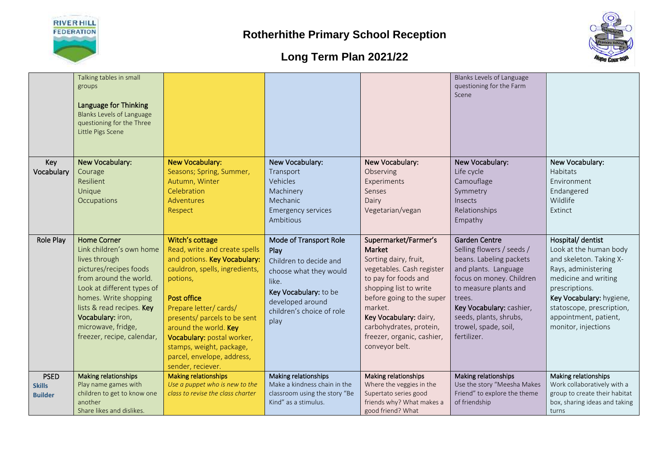



|                                                | Talking tables in small<br>groups<br>Language for Thinking<br><b>Blanks Levels of Language</b><br>questioning for the Three<br>Little Pigs Scene                                                                                                                                 |                                                                                                                                                                                                                                                                                                                                                     |                                                                                                                                                                               |                                                                                                                                                                                                                                                                                     | Blanks Levels of Language<br>questioning for the Farm<br>Scene                                                                                                                                                                                                   |                                                                                                                                                                                                                                                  |
|------------------------------------------------|----------------------------------------------------------------------------------------------------------------------------------------------------------------------------------------------------------------------------------------------------------------------------------|-----------------------------------------------------------------------------------------------------------------------------------------------------------------------------------------------------------------------------------------------------------------------------------------------------------------------------------------------------|-------------------------------------------------------------------------------------------------------------------------------------------------------------------------------|-------------------------------------------------------------------------------------------------------------------------------------------------------------------------------------------------------------------------------------------------------------------------------------|------------------------------------------------------------------------------------------------------------------------------------------------------------------------------------------------------------------------------------------------------------------|--------------------------------------------------------------------------------------------------------------------------------------------------------------------------------------------------------------------------------------------------|
| Key<br>Vocabulary                              | New Vocabulary:<br>Courage<br>Resilient<br>Unique<br>Occupations                                                                                                                                                                                                                 | <b>New Vocabulary:</b><br>Seasons; Spring, Summer,<br>Autumn, Winter<br>Celebration<br><b>Adventures</b><br>Respect                                                                                                                                                                                                                                 | New Vocabulary:<br>Transport<br>Vehicles<br>Machinery<br>Mechanic<br><b>Emergency services</b><br>Ambitious                                                                   | New Vocabulary:<br>Observing<br>Experiments<br>Senses<br>Dairy<br>Vegetarian/vegan                                                                                                                                                                                                  | New Vocabulary:<br>Life cycle<br>Camouflage<br>Symmetry<br>Insects<br>Relationships<br>Empathy                                                                                                                                                                   | New Vocabulary:<br>Habitats<br>Environment<br>Endangered<br>Wildlife<br>Extinct                                                                                                                                                                  |
| Role Play                                      | <b>Home Corner</b><br>Link children's own home<br>lives through<br>pictures/recipes foods<br>from around the world.<br>Look at different types of<br>homes. Write shopping<br>lists & read recipes. Key<br>Vocabulary: iron,<br>microwave, fridge,<br>freezer, recipe, calendar, | Witch's cottage<br>Read, write and create spells<br>and potions. Key Vocabulary:<br>cauldron, spells, ingredients,<br>potions,<br><b>Post office</b><br>Prepare letter/cards/<br>presents/ parcels to be sent<br>around the world. Key<br>Vocabulary: postal worker,<br>stamps, weight, package,<br>parcel, envelope, address,<br>sender, reciever. | Mode of Transport Role<br>Play<br>Children to decide and<br>choose what they would<br>like.<br>Key Vocabulary: to be<br>developed around<br>children's choice of role<br>play | Supermarket/Farmer's<br>Market<br>Sorting dairy, fruit,<br>vegetables. Cash register<br>to pay for foods and<br>shopping list to write<br>before going to the super<br>market.<br>Key Vocabulary: dairy,<br>carbohydrates, protein,<br>freezer, organic, cashier,<br>conveyor belt. | <b>Garden Centre</b><br>Selling flowers / seeds /<br>beans. Labeling packets<br>and plants. Language<br>focus on money. Children<br>to measure plants and<br>trees.<br>Key Vocabulary: cashier,<br>seeds, plants, shrubs,<br>trowel, spade, soil,<br>fertilizer. | Hospital/ dentist<br>Look at the human body<br>and skeleton. Taking X-<br>Rays, administering<br>medicine and writing<br>prescriptions.<br>Key Vocabulary: hygiene,<br>statoscope, prescription,<br>appointment, patient,<br>monitor, injections |
| <b>PSED</b><br><b>Skills</b><br><b>Builder</b> | Making relationships<br>Play name games with<br>children to get to know one<br>another<br>Share likes and dislikes.                                                                                                                                                              | <b>Making relationships</b><br>Use a puppet who is new to the<br>class to revise the class charter                                                                                                                                                                                                                                                  | Making relationships<br>Make a kindness chain in the<br>classroom using the story "Be<br>Kind" as a stimulus.                                                                 | Making relationships<br>Where the veggies in the<br>Supertato series good<br>friends why? What makes a<br>good friend? What                                                                                                                                                         | Making relationships<br>Use the story "Meesha Makes<br>Friend" to explore the theme<br>of friendship                                                                                                                                                             | Making relationships<br>Work collaboratively with a<br>group to create their habitat<br>box, sharing ideas and taking<br>turns                                                                                                                   |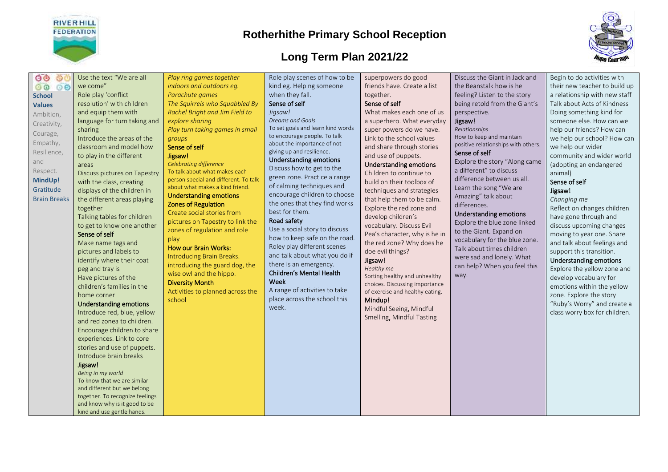

### **Long Term Plan 2021/22**



 $000$ 00 00 **School Values** Ambition, Creativity, Courage, Empathy, Resilience, and Respect. **MindUp!** Gratitude Brain Breaks

Role play 'conflict resolution' with children and equip them with language for turn taking and sharing Introduce the areas of the classroom and model how to play in the different areas Discuss pictures on Tapestry with the class, creating displays of the children in the different areas playing together Talking tables for children

Use the text "We are all

welcome"

#### Sense of self

Make name tags and pictures and labels to identify where their coat peg and tray is Have pictures of the children's families in the home corner

to get to know one another

#### Understanding emotions

Introduce red, blue, yellow and red zonea to children. Encourage children to share experiences. Link to core stories and use of puppets. Introduce brain breaks

#### Jigsaw!

*Being in my world* To know that we are similar and different but we belong together. To recognize feelings and know why is it good to be kind and use gentle hands.

*Play ring games together indoors and outdoors eg. Parachute games The Squirrels who Squabbled By Rachel Bright and Jim Field to explore sharing Play turn taking games in small groups* 

#### Sense of self Jigsaw!

*Celebrating difference*  To talk about what makes each person special and different. To talk about what makes a kind friend. Understanding emotions

### Zones of Regulation

Create social stories from pictures on Tapestry to link the zones of regulation and role play

#### How our Brain Works:

Introducing Brain Breaks. introducing the guard dog, the wise owl and the hippo.

#### Diversity Month

Activities to planned across the school

Role play scenes of how to be kind eg. Helping someone when they fall. Sense of self

#### *Jigsaw!*

*Dreams and Goals* To set goals and learn kind words to encourage people. To talk about the importance of not giving up and resilience. Understanding emotions

Discuss how to get to the green zone. Practice a range of calming techniques and encourage children to choose the ones that they find works best for them.

#### Road safety

Use a social story to discuss how to keep safe on the road. Roley play different scenes and talk about what you do if there is an emergency.

#### Children's Mental Health Week

A range of activities to take place across the school this week.

superpowers do good friends have. Create a list together.

#### Sense of self

What makes each one of us a superhero. What everyday super powers do we have. Link to the school values and share through stories and use of puppets.

#### Understanding emotions

Children to continue to build on their toolbox of techniques and strategies that help them to be calm. Explore the red zone and develop children's vocabulary. Discuss Evil Pea's character, why is he in the red zone? Why does he doe evil things?

#### Jigsaw! *Healthy me*

Sorting healthy and unhealthy choices. Discussing importance of exercise and healthy eating. Mindup!

Mindful Seeing, Mindful Smelling, Mindful Tasting Discuss the Giant in Jack and the Beanstalk how is he feeling? Listen to the story being retold from the Giant's perspective.

#### Jigsaw!

*Relationships* How to keep and maintain positive relationships with others.

#### Sense of self

Explore the story "Along came a different" to discuss difference between us all. Learn the song "We are Amazing" talk about differences.

#### Understanding emotions

Explore the blue zone linked to the Giant. Expand on vocabulary for the blue zone. Talk about times children were sad and lonely. What can help? When you feel this way.

Begin to do activities with their new teacher to build up a relationship with new staff Talk about Acts of Kindness Doing something kind for someone else. How can we help our friends? How can we help our school? How can we help our wider community and wider world (adopting an endangered animal)

#### Sense of self Jigsaw!

*Changing me* Reflect on changes children have gone through and discuss upcoming changes moving to year one. Share and talk about feelings and support this transition.

### Understanding emotions

Explore the yellow zone and develop vocabulary for emotions within the yellow zone. Explore the story "Ruby's Worry" and create a class worry box for children.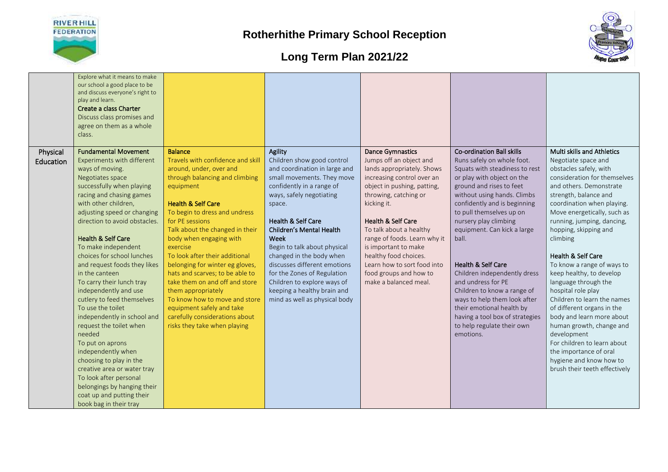



|                       | Explore what it means to make<br>our school a good place to be<br>and discuss everyone's right to<br>play and learn.<br>Create a class Charter<br>Discuss class promises and<br>agree on them as a whole<br>class. |                                                                                |                                                                        |                                                                                  |                                                                                                  |                                                                             |
|-----------------------|--------------------------------------------------------------------------------------------------------------------------------------------------------------------------------------------------------------------|--------------------------------------------------------------------------------|------------------------------------------------------------------------|----------------------------------------------------------------------------------|--------------------------------------------------------------------------------------------------|-----------------------------------------------------------------------------|
| Physical<br>Education | <b>Fundamental Movement</b><br>Experiments with different<br>ways of moving.                                                                                                                                       | <b>Balance</b><br>Travels with confidence and skill<br>around, under, over and | Agility<br>Children show good control<br>and coordination in large and | <b>Dance Gymnastics</b><br>Jumps off an object and<br>lands appropriately. Shows | <b>Co-ordination Ball skills</b><br>Runs safely on whole foot.<br>Squats with steadiness to rest | Multi skills and Athletics<br>Negotiate space and<br>obstacles safely, with |
|                       | Negotiates space                                                                                                                                                                                                   | through balancing and climbing                                                 | small movements. They move                                             | increasing control over an                                                       | or play with object on the                                                                       | consideration for themselves                                                |
|                       | successfully when playing                                                                                                                                                                                          | equipment                                                                      | confidently in a range of                                              | object in pushing, patting,                                                      | ground and rises to feet                                                                         | and others. Demonstrate                                                     |
|                       | racing and chasing games<br>with other children,                                                                                                                                                                   | <b>Health &amp; Self Care</b>                                                  | ways, safely negotiating<br>space.                                     | throwing, catching or<br>kicking it.                                             | without using hands. Climbs<br>confidently and is beginning                                      | strength, balance and<br>coordination when playing.                         |
|                       | adjusting speed or changing                                                                                                                                                                                        | To begin to dress and undress                                                  |                                                                        |                                                                                  | to pull themselves up on                                                                         | Move energetically, such as                                                 |
|                       | direction to avoid obstacles.                                                                                                                                                                                      | for PE sessions                                                                | <b>Health &amp; Self Care</b>                                          | Health & Self Care                                                               | nursery play climbing                                                                            | running, jumping, dancing,                                                  |
|                       | <b>Health &amp; Self Care</b>                                                                                                                                                                                      | Talk about the changed in their<br>body when engaging with                     | Children's Mental Health<br>Week                                       | To talk about a healthy<br>range of foods. Learn why it                          | equipment. Can kick a large<br>ball.                                                             | hopping, skipping and<br>climbing                                           |
|                       | To make independent                                                                                                                                                                                                | exercise                                                                       | Begin to talk about physical                                           | is important to make                                                             |                                                                                                  |                                                                             |
|                       | choices for school lunches                                                                                                                                                                                         | To look after their additional                                                 | changed in the body when                                               | healthy food choices.                                                            |                                                                                                  | Health & Self Care                                                          |
|                       | and request foods they likes                                                                                                                                                                                       | belonging for winter eg gloves,                                                | discusses different emotions                                           | Learn how to sort food into                                                      | <b>Health &amp; Self Care</b>                                                                    | To know a range of ways to                                                  |
|                       | in the canteen                                                                                                                                                                                                     | hats and scarves; to be able to                                                | for the Zones of Regulation                                            | food groups and how to                                                           | Children independently dress                                                                     | keep healthy, to develop                                                    |
|                       | To carry their lunch tray<br>independently and use                                                                                                                                                                 | take them on and off and store<br>them appropriately                           | Children to explore ways of<br>keeping a healthy brain and             | make a balanced meal.                                                            | and undress for PE<br>Children to know a range of                                                | language through the<br>hospital role play                                  |
|                       | cutlery to feed themselves                                                                                                                                                                                         | To know how to move and store                                                  | mind as well as physical body                                          |                                                                                  | ways to help them look after                                                                     | Children to learn the names                                                 |
|                       | To use the toilet                                                                                                                                                                                                  | equipment safely and take                                                      |                                                                        |                                                                                  | their emotional health by                                                                        | of different organs in the                                                  |
|                       | independently in school and                                                                                                                                                                                        | carefully considerations about                                                 |                                                                        |                                                                                  | having a tool box of strategies                                                                  | body and learn more about                                                   |
|                       | request the toilet when                                                                                                                                                                                            | risks they take when playing                                                   |                                                                        |                                                                                  | to help regulate their own                                                                       | human growth, change and                                                    |
|                       | needed                                                                                                                                                                                                             |                                                                                |                                                                        |                                                                                  | emotions.                                                                                        | development<br>For children to learn about                                  |
|                       | To put on aprons<br>independently when                                                                                                                                                                             |                                                                                |                                                                        |                                                                                  |                                                                                                  | the importance of oral                                                      |
|                       | choosing to play in the                                                                                                                                                                                            |                                                                                |                                                                        |                                                                                  |                                                                                                  | hygiene and know how to                                                     |
|                       | creative area or water tray                                                                                                                                                                                        |                                                                                |                                                                        |                                                                                  |                                                                                                  | brush their teeth effectively                                               |
|                       | To look after personal                                                                                                                                                                                             |                                                                                |                                                                        |                                                                                  |                                                                                                  |                                                                             |
|                       | belongings by hanging their                                                                                                                                                                                        |                                                                                |                                                                        |                                                                                  |                                                                                                  |                                                                             |
|                       | coat up and putting their                                                                                                                                                                                          |                                                                                |                                                                        |                                                                                  |                                                                                                  |                                                                             |
|                       | book bag in their tray                                                                                                                                                                                             |                                                                                |                                                                        |                                                                                  |                                                                                                  |                                                                             |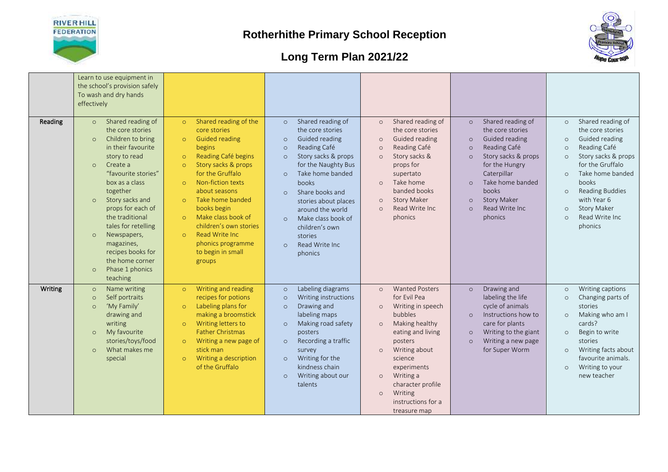



| Reading | Learn to use equipment in<br>the school's provision safely<br>To wash and dry hands<br>effectively<br>Shared reading of<br>$\circ$<br>the core stories<br>Children to bring<br>$\circ$<br>in their favourite<br>story to read<br>Create a<br>$\circ$<br>"favourite stories"<br>box as a class<br>together<br>Story sacks and<br>$\circ$<br>props for each of<br>the traditional | Shared reading of the<br>$\circ$<br>core stories<br><b>Guided reading</b><br>$\Omega$<br>begins<br>Reading Café begins<br>$\circ$<br>Story sacks & props<br>$\circ$<br>for the Gruffalo<br>Non-fiction texts<br>$\circ$<br>about seasons<br>Take home banded<br>$\circ$<br>books begin<br>Make class book of<br>$\circ$ | Shared reading of<br>$\circ$<br>the core stories<br>Guided reading<br>$\circ$<br>Reading Café<br>$\circ$<br>Story sacks & props<br>$\circ$<br>for the Naughty Bus<br>Take home banded<br>$\Omega$<br>books<br>Share books and<br>$\Omega$<br>stories about places<br>around the world<br>Make class book of | Shared reading of<br>$\circ$<br>the core stories<br><b>Guided reading</b><br>$\Omega$<br>Reading Café<br>$\circ$<br>Story sacks &<br>$\Omega$<br>props for<br>supertato<br>Take home<br>$\Omega$<br>banded books<br><b>Story Maker</b><br>$\circ$<br>Read Write Inc<br>$\Omega$<br>phonics                               | Shared reading of<br>$\circ$<br>the core stories<br>Guided reading<br>$\circ$<br>Reading Café<br>$\circ$<br>Story sacks & props<br>$\circ$<br>for the Hungry<br>Caterpillar<br>Take home banded<br>$\circ$<br>books<br><b>Story Maker</b><br>$\circ$<br>Read Write Inc<br>$\Omega$<br>phonics | Shared reading of<br>$\circ$<br>the core stories<br>Guided reading<br>$\circ$<br>Reading Café<br>$\circ$<br>Story sacks & props<br>$\circ$<br>for the Gruffalo<br>Take home banded<br>$\circ$<br>books<br><b>Reading Buddies</b><br>$\circ$<br>with Year 6<br><b>Story Maker</b><br>$\circ$<br>Read Write Inc.<br>$\circ$ |
|---------|---------------------------------------------------------------------------------------------------------------------------------------------------------------------------------------------------------------------------------------------------------------------------------------------------------------------------------------------------------------------------------|-------------------------------------------------------------------------------------------------------------------------------------------------------------------------------------------------------------------------------------------------------------------------------------------------------------------------|-------------------------------------------------------------------------------------------------------------------------------------------------------------------------------------------------------------------------------------------------------------------------------------------------------------|--------------------------------------------------------------------------------------------------------------------------------------------------------------------------------------------------------------------------------------------------------------------------------------------------------------------------|-----------------------------------------------------------------------------------------------------------------------------------------------------------------------------------------------------------------------------------------------------------------------------------------------|---------------------------------------------------------------------------------------------------------------------------------------------------------------------------------------------------------------------------------------------------------------------------------------------------------------------------|
|         | tales for retelling<br>Newspapers,<br>$\circ$<br>magazines,<br>recipes books for<br>the home corner<br>Phase 1 phonics<br>$\circ$<br>teaching                                                                                                                                                                                                                                   | children's own stories<br>Read Write Inc.<br>$\circ$<br>phonics programme<br>to begin in small<br>groups                                                                                                                                                                                                                | $\Omega$<br>children's own<br>stories<br>Read Write Inc.<br>$\Omega$<br>phonics                                                                                                                                                                                                                             |                                                                                                                                                                                                                                                                                                                          |                                                                                                                                                                                                                                                                                               | phonics                                                                                                                                                                                                                                                                                                                   |
| Writing | Name writing<br>$\circ$<br>Self portraits<br>$\circ$<br>'My Family'<br>$\circ$<br>drawing and<br>writing<br>My favourite<br>$\circ$<br>stories/toys/food<br>What makes me<br>$\circ$<br>special                                                                                                                                                                                 | Writing and reading<br>$\circ$<br>recipes for potions<br>Labeling plans for<br>$\circ$<br>making a broomstick<br>Writing letters to<br>$\circ$<br><b>Father Christmas</b><br>Writing a new page of<br>$\circ$<br>stick man<br>Writing a description<br>$\circ$<br>of the Gruffalo                                       | Labeling diagrams<br>$\circ$<br>Writing instructions<br>$\Omega$<br>Drawing and<br>$\circ$<br>labeling maps<br>Making road safety<br>$\circ$<br>posters<br>Recording a traffic<br>$\circ$<br>survey<br>Writing for the<br>$\circ$<br>kindness chain<br>Writing about our<br>$\circ$<br>talents              | <b>Wanted Posters</b><br>$\circ$<br>for Evil Pea<br>Writing in speech<br>$\circ$<br>bubbles<br>Making healthy<br>$\circ$<br>eating and living<br>posters<br>Writing about<br>$\circ$<br>science<br>experiments<br>Writing a<br>$\circ$<br>character profile<br>Writing<br>$\Omega$<br>instructions for a<br>treasure map | Drawing and<br>$\circ$<br>labeling the life<br>cycle of animals<br>Instructions how to<br>$\circ$<br>care for plants<br>Writing to the giant<br>$\circ$<br>Writing a new page<br>$\circ$<br>for Super Worm                                                                                    | Writing captions<br>$\circ$<br>Changing parts of<br>$\circ$<br>stories<br>Making who am I<br>$\circ$<br>cards?<br>Begin to write<br>$\circ$<br>stories<br>Writing facts about<br>$\circ$<br>favourite animals.<br>Writing to your<br>$\circ$<br>new teacher                                                               |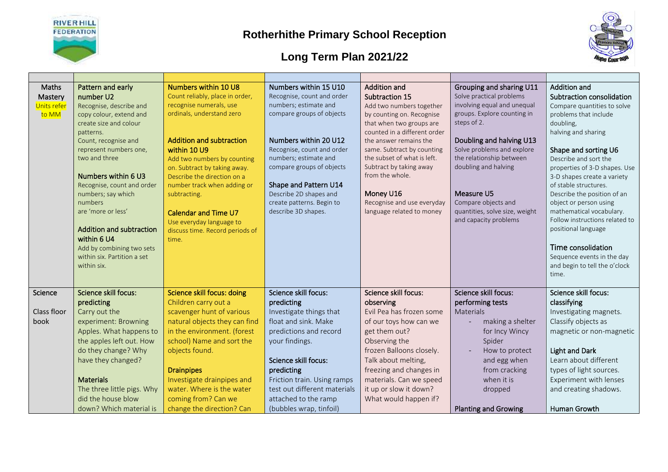



| Maths       | Pattern and early                 | Numbers within 10 U8              | Numbers within 15 U10        | <b>Addition and</b>                                    | Grouping and sharing U11       | <b>Addition and</b>                           |
|-------------|-----------------------------------|-----------------------------------|------------------------------|--------------------------------------------------------|--------------------------------|-----------------------------------------------|
| Mastery     | number U2                         | Count reliably, place in order,   | Recognise, count and order   | Subtraction 15                                         | Solve practical problems       | Subtraction consolidation                     |
| Units refer | Recognise, describe and           | recognise numerals, use           | numbers; estimate and        | Add two numbers together                               | involving equal and unequal    | Compare quantities to solve                   |
| to MM       | copy colour, extend and           | ordinals, understand zero         | compare groups of objects    | by counting on. Recognise                              | groups. Explore counting in    | problems that include                         |
|             | create size and colour            |                                   |                              | that when two groups are                               | steps of 2.                    | doubling,                                     |
|             | patterns.<br>Count, recognise and | <b>Addition and subtraction</b>   | Numbers within 20 U12        | counted in a different order<br>the answer remains the | Doubling and halving U13       | halving and sharing                           |
|             | represent numbers one,            | within 10 U9                      | Recognise, count and order   | same. Subtract by counting                             | Solve problems and explore     |                                               |
|             | two and three                     | Add two numbers by counting       | numbers; estimate and        | the subset of what is left.                            | the relationship between       | Shape and sorting U6<br>Describe and sort the |
|             |                                   | on. Subtract by taking away.      | compare groups of objects    | Subtract by taking away                                | doubling and halving           | properties of 3-D shapes. Use                 |
|             | Numbers within 6 U3               | Describe the direction on a       |                              | from the whole.                                        |                                | 3-D shapes create a variety                   |
|             | Recognise, count and order        | number track when adding or       | Shape and Pattern U14        |                                                        |                                | of stable structures.                         |
|             | numbers; say which                | subtracting.                      | Describe 2D shapes and       | Money U16                                              | Measure U5                     | Describe the position of an                   |
|             | numbers                           |                                   | create patterns. Begin to    | Recognise and use everyday                             | Compare objects and            | object or person using                        |
|             | are 'more or less'                | <b>Calendar and Time U7</b>       | describe 3D shapes.          | language related to money                              | quantities, solve size, weight | mathematical vocabulary.                      |
|             |                                   | Use everyday language to          |                              |                                                        | and capacity problems          | Follow instructions related to                |
|             | <b>Addition and subtraction</b>   | discuss time. Record periods of   |                              |                                                        |                                | positional language                           |
|             | within 6 U4                       | time.                             |                              |                                                        |                                |                                               |
|             | Add by combining two sets         |                                   |                              |                                                        |                                | Time consolidation                            |
|             | within six. Partition a set       |                                   |                              |                                                        |                                | Sequence events in the day                    |
|             | within six.                       |                                   |                              |                                                        |                                | and begin to tell the o'clock                 |
|             |                                   |                                   |                              |                                                        |                                | time.                                         |
|             | <b>Science skill focus:</b>       | <b>Science skill focus: doing</b> | Science skill focus:         | Science skill focus:                                   | Science skill focus:           | Science skill focus:                          |
| Science     | predicting                        | Children carry out a              | predicting                   | observing                                              | performing tests               | classifying                                   |
| Class floor | Carry out the                     | scavenger hunt of various         | Investigate things that      | Evil Pea has frozen some                               | Materials                      | Investigating magnets.                        |
| book        | experiment: Browning              | natural objects they can find     | float and sink. Make         | of our toys how can we                                 | making a shelter               | Classify objects as                           |
|             | Apples. What happens to           | in the environment. (forest       | predictions and record       | get them out?                                          | for Incy Wincy                 | magnetic or non-magnetic                      |
|             | the apples left out. How          | school) Name and sort the         | your findings.               | Observing the                                          | Spider                         |                                               |
|             | do they change? Why               | objects found.                    |                              | frozen Balloons closely.                               |                                | <b>Light and Dark</b>                         |
|             | have they changed?                |                                   | Science skill focus:         |                                                        | How to protect                 | Learn about different                         |
|             |                                   |                                   |                              | Talk about melting,                                    | and egg when                   |                                               |
|             |                                   | <b>Drainpipes</b>                 | predicting                   | freezing and changes in                                | from cracking<br>when it is    | types of light sources.                       |
|             | <b>Materials</b>                  | Investigate drainpipes and        | Friction train. Using ramps  | materials. Can we speed                                |                                | Experiment with lenses                        |
|             | The three little pigs. Why        | water. Where is the water         | test out different materials | it up or slow it down?                                 | dropped                        | and creating shadows.                         |
|             | did the house blow                | coming from? Can we               | attached to the ramp         | What would happen if?                                  |                                |                                               |
|             | down? Which material is           | change the direction? Can         | (bubbles wrap, tinfoil)      |                                                        | <b>Planting and Growing</b>    | Human Growth                                  |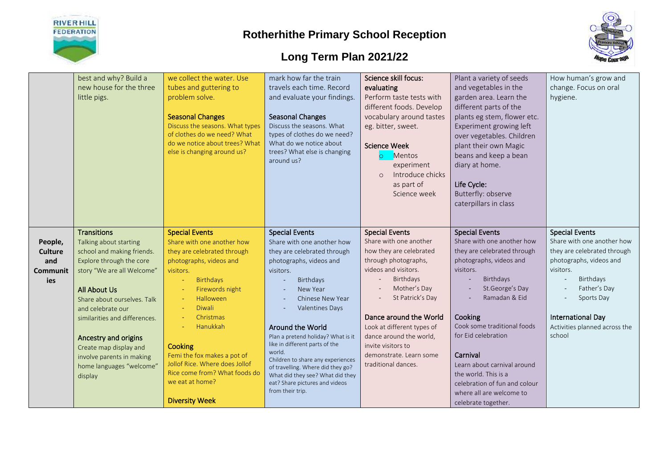



|                 | best and why? Build a                                  | we collect the water. Use              | mark how far the train                                               | Science skill focus:        | Plant a variety of seeds                      | How human's grow and          |
|-----------------|--------------------------------------------------------|----------------------------------------|----------------------------------------------------------------------|-----------------------------|-----------------------------------------------|-------------------------------|
|                 | new house for the three                                | tubes and guttering to                 | travels each time. Record                                            | evaluating                  | and vegetables in the                         | change. Focus on oral         |
|                 | little pigs.                                           | problem solve.                         | and evaluate your findings.                                          | Perform taste tests with    | garden area. Learn the                        | hygiene.                      |
|                 |                                                        |                                        |                                                                      | different foods. Develop    | different parts of the                        |                               |
|                 |                                                        | <b>Seasonal Changes</b>                | <b>Seasonal Changes</b>                                              | vocabulary around tastes    | plants eg stem, flower etc.                   |                               |
|                 |                                                        | Discuss the seasons. What types        | Discuss the seasons. What                                            | eg. bitter, sweet.          | Experiment growing left                       |                               |
|                 |                                                        | of clothes do we need? What            | types of clothes do we need?                                         |                             | over vegetables. Children                     |                               |
|                 |                                                        | do we notice about trees? What         | What do we notice about                                              | <b>Science Week</b>         | plant their own Magic                         |                               |
|                 |                                                        | else is changing around us?            | trees? What else is changing                                         | Mentos<br>$\circ$           | beans and keep a bean                         |                               |
|                 |                                                        |                                        | around us?                                                           | experiment                  | diary at home.                                |                               |
|                 |                                                        |                                        |                                                                      | Introduce chicks<br>$\circ$ |                                               |                               |
|                 |                                                        |                                        |                                                                      | as part of                  | Life Cycle:                                   |                               |
|                 |                                                        |                                        |                                                                      | Science week                | Butterfly: observe                            |                               |
|                 |                                                        |                                        |                                                                      |                             | caterpillars in class                         |                               |
|                 |                                                        |                                        |                                                                      |                             |                                               |                               |
|                 |                                                        |                                        |                                                                      |                             |                                               |                               |
|                 | <b>Transitions</b>                                     | <b>Special Events</b>                  | <b>Special Events</b>                                                | <b>Special Events</b>       | <b>Special Events</b>                         | <b>Special Events</b>         |
|                 | Talking about starting                                 | Share with one another how             | Share with one another how                                           | Share with one another      | Share with one another how                    | Share with one another how    |
| People,         | school and making friends.                             | they are celebrated through            | they are celebrated through                                          | how they are celebrated     | they are celebrated through                   | they are celebrated through   |
| <b>Culture</b>  |                                                        |                                        | photographs, videos and                                              | through photographs,        | photographs, videos and                       | photographs, videos and       |
| and             | Explore through the core<br>story "We are all Welcome" | photographs, videos and                |                                                                      | videos and visitors.        | visitors.                                     | visitors.                     |
| <b>Communit</b> |                                                        | visitors.                              | visitors.<br><b>Birthdays</b>                                        | Birthdays                   | Birthdays                                     | Birthdays                     |
| ies             |                                                        | <b>Birthdays</b>                       | New Year                                                             | Mother's Day                | St.George's Day                               | Father's Day                  |
|                 | All About Us                                           | Firewords night<br>Halloween           |                                                                      | St Patrick's Day            | Ramadan & Eid                                 | Sports Day                    |
|                 | Share about ourselves. Talk                            | Diwali                                 | Chinese New Year                                                     |                             |                                               |                               |
|                 | and celebrate our                                      | Christmas                              | <b>Valentines Days</b>                                               | Dance around the World      |                                               | International Day             |
|                 | similarities and differences.                          | Hanukkah                               | Around the World                                                     | Look at different types of  | <b>Cooking</b><br>Cook some traditional foods | Activities planned across the |
|                 |                                                        |                                        |                                                                      | dance around the world,     | for Eid celebration                           | school                        |
|                 | Ancestry and origins                                   |                                        | Plan a pretend holiday? What is it<br>like in different parts of the | invite visitors to          |                                               |                               |
|                 | Create map display and                                 | Cooking<br>Femi the fox makes a pot of | world.                                                               | demonstrate. Learn some     | Carnival                                      |                               |
|                 | involve parents in making                              | Jollof Rice. Where does Jollof         | Children to share any experiences                                    | traditional dances.         | Learn about carnival around                   |                               |
|                 | home languages "welcome"                               | Rice come from? What foods do          | of travelling. Where did they go?                                    |                             | the world. This is a                          |                               |
|                 | display                                                | we eat at home?                        | What did they see? What did they<br>eat? Share pictures and videos   |                             | celebration of fun and colour                 |                               |
|                 |                                                        |                                        | from their trip.                                                     |                             |                                               |                               |
|                 |                                                        | <b>Diversity Week</b>                  |                                                                      |                             | where all are welcome to                      |                               |
|                 |                                                        |                                        |                                                                      |                             | celebrate together.                           |                               |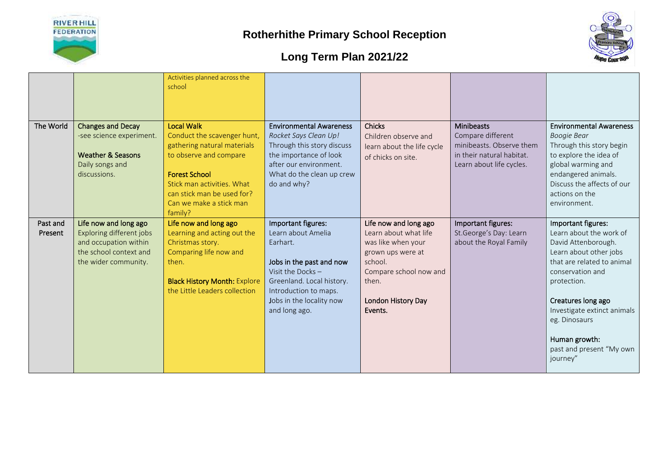



|           |                                                                                                                         | Activities planned across the<br>school                                                                                                                                                                                             |                                                                                                                                                                                       |                                                                                           |                                                                                                                             |                                                                                                                                                                                                                         |
|-----------|-------------------------------------------------------------------------------------------------------------------------|-------------------------------------------------------------------------------------------------------------------------------------------------------------------------------------------------------------------------------------|---------------------------------------------------------------------------------------------------------------------------------------------------------------------------------------|-------------------------------------------------------------------------------------------|-----------------------------------------------------------------------------------------------------------------------------|-------------------------------------------------------------------------------------------------------------------------------------------------------------------------------------------------------------------------|
| The World | <b>Changes and Decay</b><br>-see science experiment.<br><b>Weather &amp; Seasons</b><br>Daily songs and<br>discussions. | <b>Local Walk</b><br>Conduct the scavenger hunt,<br>gathering natural materials<br>to observe and compare<br><b>Forest School</b><br>Stick man activities. What<br>can stick man be used for?<br>Can we make a stick man<br>family? | <b>Environmental Awareness</b><br>Rocket Says Clean Up!<br>Through this story discuss<br>the importance of look<br>after our environment.<br>What do the clean up crew<br>do and why? | <b>Chicks</b><br>Children observe and<br>learn about the life cycle<br>of chicks on site. | <b>Minibeasts</b><br>Compare different<br>minibeasts. Observe them<br>in their natural habitat.<br>Learn about life cycles. | <b>Environmental Awareness</b><br><b>Boogie Bear</b><br>Through this story begin<br>to explore the idea of<br>global warming and<br>endangered animals.<br>Discuss the affects of our<br>actions on the<br>environment. |
| Past and  | Life now and long ago                                                                                                   | Life now and long ago                                                                                                                                                                                                               | Important figures:                                                                                                                                                                    | Life now and long ago                                                                     | Important figures:                                                                                                          | Important figures:                                                                                                                                                                                                      |
| Present   | Exploring different jobs<br>and occupation within                                                                       | Learning and acting out the<br>Christmas story.                                                                                                                                                                                     | Learn about Amelia<br>Earhart.                                                                                                                                                        | Learn about what life<br>was like when your                                               | St.George's Day: Learn<br>about the Royal Family                                                                            | Learn about the work of<br>David Attenborough.                                                                                                                                                                          |
|           | the school context and                                                                                                  | Comparing life now and                                                                                                                                                                                                              |                                                                                                                                                                                       | grown ups were at                                                                         |                                                                                                                             | Learn about other jobs                                                                                                                                                                                                  |
|           | the wider community.                                                                                                    | then.                                                                                                                                                                                                                               | Jobs in the past and now                                                                                                                                                              | school.                                                                                   |                                                                                                                             | that are related to animal                                                                                                                                                                                              |
|           |                                                                                                                         |                                                                                                                                                                                                                                     | Visit the Docks $-$                                                                                                                                                                   | Compare school now and                                                                    |                                                                                                                             | conservation and                                                                                                                                                                                                        |
|           |                                                                                                                         | <b>Black History Month: Explore</b>                                                                                                                                                                                                 | Greenland. Local history.                                                                                                                                                             | then.                                                                                     |                                                                                                                             | protection.                                                                                                                                                                                                             |
|           |                                                                                                                         | the Little Leaders collection                                                                                                                                                                                                       | Introduction to maps.                                                                                                                                                                 |                                                                                           |                                                                                                                             |                                                                                                                                                                                                                         |
|           |                                                                                                                         |                                                                                                                                                                                                                                     | Jobs in the locality now<br>and long ago.                                                                                                                                             | London History Day<br>Events.                                                             |                                                                                                                             | Creatures long ago<br>Investigate extinct animals                                                                                                                                                                       |
|           |                                                                                                                         |                                                                                                                                                                                                                                     |                                                                                                                                                                                       |                                                                                           |                                                                                                                             | eg. Dinosaurs                                                                                                                                                                                                           |
|           |                                                                                                                         |                                                                                                                                                                                                                                     |                                                                                                                                                                                       |                                                                                           |                                                                                                                             | Human growth:<br>past and present "My own<br>journey"                                                                                                                                                                   |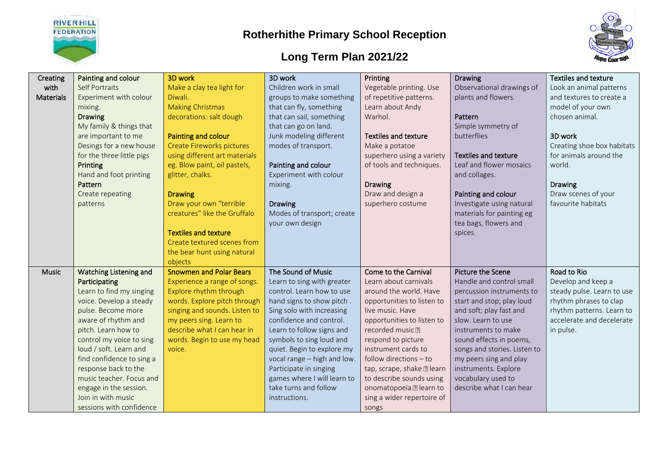



| Creating         | Painting and colour           | 3D work                          | 3D work                     | Printing                    | Drawing                      | Textiles and texture       |
|------------------|-------------------------------|----------------------------------|-----------------------------|-----------------------------|------------------------------|----------------------------|
| with             | <b>Self Portraits</b>         | Make a clay tea light for        | Children work in small      | Vegetable printing. Use     | Observational drawings of    | Look an animal patterns    |
| <b>Materials</b> | Experiment with colour        | Diwali.                          | groups to make something    | of repetitive patterns.     | plants and flowers.          | and textures to create a   |
|                  | mixing.                       | <b>Making Christmas</b>          | that can fly, something     | Learn about Andy            |                              | model of your own          |
|                  | <b>Drawing</b>                | decorations: salt dough          | that can sail, something    | Warhol.                     | Pattern                      | chosen animal.             |
|                  | My family & things that       |                                  | that can go on land.        |                             | Simple symmetry of           |                            |
|                  | are important to me           | Painting and colour              | Junk modeling different     | <b>Textiles and texture</b> | butterflies                  | 3D work                    |
|                  | Desings for a new house       | <b>Create Fireworks pictures</b> | modes of transport.         | Make a potatoe              |                              | Creating shoe box habitats |
|                  | for the three little pigs     | using different art materials    |                             | superhero using a variety   | <b>Textiles and texture</b>  | for animals around the     |
|                  | Printing                      | eg. Blow paint, oil pastels,     | Painting and colour         | of tools and techniques.    | Leaf and flower mosaics      | world.                     |
|                  | Hand and foot printing        | glitter, chalks.                 | Experiment with colour      |                             | and collages.                |                            |
|                  | Pattern                       |                                  | mixing.                     | <b>Drawing</b>              |                              | <b>Drawing</b>             |
|                  | Create repeating              | <b>Drawing</b>                   |                             | Draw and design a           | Painting and colour          | Draw scenes of your        |
|                  | patterns                      | Draw your own "terrible          | <b>Drawing</b>              | superhero costume           | Investigate using natural    | favourite habitats         |
|                  |                               | creatures" like the Gruffalo     | Modes of transport; create  |                             | materials for painting eg    |                            |
|                  |                               |                                  | your own design             |                             | tea bags, flowers and        |                            |
|                  |                               | <b>Textiles and texture</b>      |                             |                             | spices.                      |                            |
|                  |                               | Create textured scenes from      |                             |                             |                              |                            |
|                  |                               | the bear hunt using natural      |                             |                             |                              |                            |
|                  |                               | objects                          |                             |                             |                              |                            |
| <b>Music</b>     | <b>Watching Listening and</b> | <b>Snowmen and Polar Bears</b>   | The Sound of Music          | Come to the Carnival        | Picture the Scene            | Road to Rio                |
|                  | Participating                 | Experience a range of songs.     | Learn to sing with greater  | Learn about carnivals       | Handle and control small     | Develop and keep a         |
|                  | Learn to find my singing      | Explore rhythm through           | control. Learn how to use   | around the world. Have      | percussion instruments to    | steady pulse. Learn to use |
|                  | voice. Develop a steady       | words. Explore pitch through     | hand signs to show pitch.   | opportunities to listen to  | start and stop; play loud    | rhythm phrases to clap     |
|                  | pulse. Become more            | singing and sounds. Listen to    | Sing solo with increasing   | live music. Have            | and soft; play fast and      | rhythm patterns. Learn to  |
|                  | aware of rhythm and           | my peers sing. Learn to          | confidence and control.     | opportunities to listen to  | slow. Learn to use           | accelerate and decelerate  |
|                  | pitch. Learn how to           | describe what I can hear in      | Learn to follow signs and   | recorded music ?            | instruments to make          | in pulse.                  |
|                  | control my voice to sing      | words. Begin to use my head      | symbols to sing loud and    | respond to picture          | sound effects in poems,      |                            |
|                  | loud / soft. Learn and        | voice.                           | quiet. Begin to explore my  | instrument cards to         | songs and stories. Listen to |                            |
|                  | find confidence to sing a     |                                  | vocal range - high and low. | follow directions - to      | my peers sing and play       |                            |
|                  | response back to the          |                                  | Participate in singing      | tap, scrape, shake a learn  | instruments. Explore         |                            |
|                  | music teacher. Focus and      |                                  | games where I will learn to | to describe sounds using    | vocabulary used to           |                            |
|                  | engage in the session.        |                                  | take turns and follow       | onomatopoeia a learn to     | describe what I can hear     |                            |
|                  | Join in with music            |                                  | instructions.               | sing a wider repertoire of  |                              |                            |
|                  | sessions with confidence      |                                  |                             | songs                       |                              |                            |
|                  |                               |                                  |                             |                             |                              |                            |